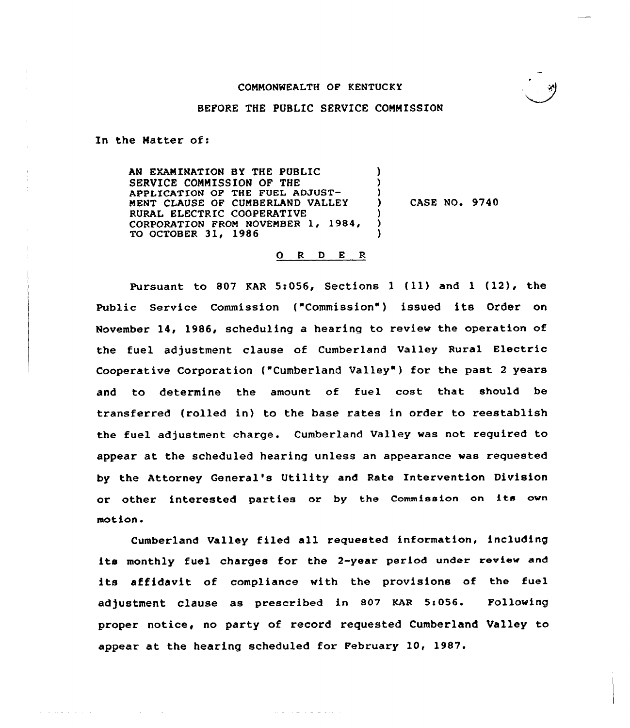

### BEFORE THE PUBLIC SERVICE COMMISSION

In the Matter of:

الموالي المتحدث والمتحدث والمتحدث

AN EXAMINATION BY THE PUBLIC SERVICE COMMISSION OF THE APPLICATION OF THE FUEL ADJUST-MENT CLAUSE OF CUMBERLAND VALLEY RURAL ELECTRIC COOPERATIVE CORPORATION FROM NOVEMBER 1, 1984, TO OCTOBER 31, 1986 ) ) ) ) CASE NO. 9740 ) ) )

### O R D E R

Pursuant to <sup>807</sup> KAR 5:056, Sections <sup>1</sup> (ll) and <sup>1</sup> (12), the Public Service Commission ("Commission") issued its Order on November 14, l986, scheduling a hearing to review the operation of the fuel adjustment clause of Cumberland Valley Rural Electric Cooperative Corporation ("Cumberland Valley") for the past 2 years and to determine the amount of fuel cost that should be transferred (rolled in) to the base rates in order to reestablish the fuel adjustment charge. Cumberland Valley was not required to appear at the scheduled hearing unless an appearance was requested by the Attorney General's Utility and Rate Intervention Division or othex interested parties or by the Commission on its own motion <sup>~</sup>

Cumberland Valley filed all requested information, including its monthly fuel charges for the 2-yeax period under review and its affidavit of compliance with the provisions of the fuel adjustment clause as prescribed in 807 KAR 5:056. Following proper notice, no party of record requested Cumberland Valley to appear at the hearing scheduled for February 10, 1987.

المتحاط المالية والمحارب المنادي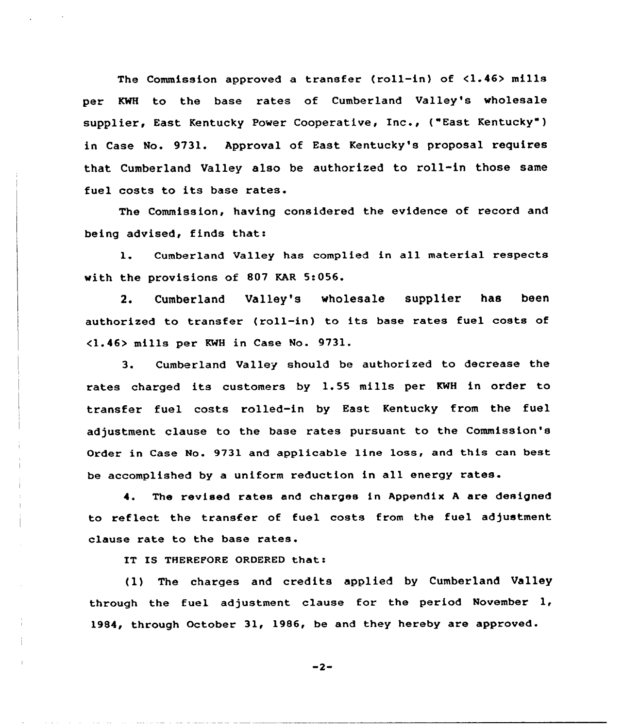The Commission approved a transfer (roll-in} of <1.46) mills per KWH to the base rates of Cumberland Valley's wholesale supplier, East Kentucky Power Cooperative, Inc., ("East Kentucky") in Case No. 9731. Approval of East Kentucky's proposal requires that Cumberland Valley also be authorized to roll-in those same fuel costs to its base rates.

The Commission, having considered the evidence of record and being advised, finds thati

1. Cumberland Valley has complied in all material respects with the provisions of 807 KAR 5:056.

2. Cumberland Valley's wholesale supplier has been authorized to transfer (roll-in) to its base rates fuel costs of <1.46) mills per KWH in Case Mo. 9731.

3. Cumberland Valley should be authorized to decrease the rates charged its customers by 1.55 mills per KWH in order to transfer fuel costs rolled-in by East Kentucky from the fuel adjustment clause to the base rates pursuant to the Commission's Order in Case No. 9731 and applicable line loss, and this can best be accomplished by <sup>a</sup> uniform reduction in all energy rates.

The revised rates and charges in Appendix <sup>A</sup> are designed to reflect the transfer of fuel costs from the fuel adjustment clause rate to the base rates.

IT IS THEREFORE ORDERED that:

(1) The charges and credits applied by Cumberland Valley through the fuel adjustment clause for the period November 1, 1984, through October 31, 1986, be and they hereby are approved.

 $-2-$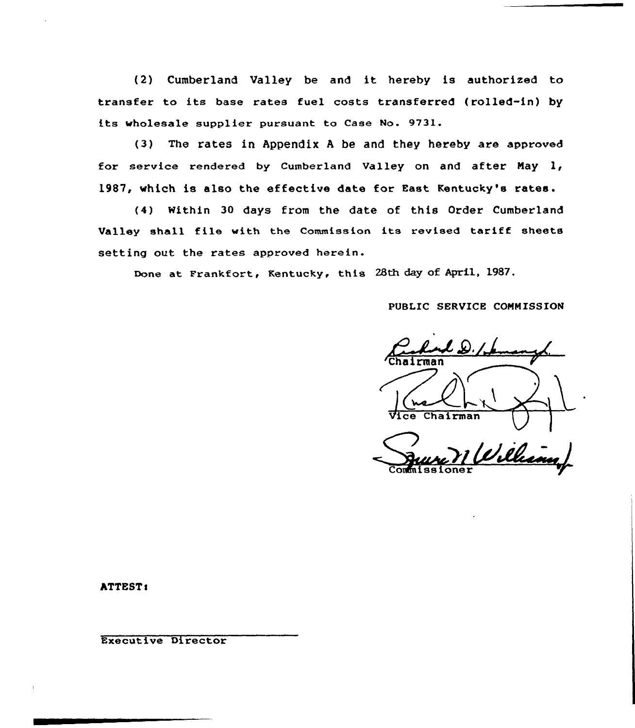(2) Cumberland Valley be and it hereby is authorized to transfer to its base rates fuel costs transferred (rolled-in) by its Wholesale supplier pursuant to Case No. 9731.

(3) The rates in Appendix <sup>A</sup> be and they hereby are approved for service rendered by Cumberland Valley on and after May 1, 1987, which is also the effective date for East Kentucky's rates.

(4) Within 30 days from the date of this Order Cumberland Valley shall file with the Commission its revised tariff sheets setting out the rates approved herein.

Done at Frankfort, Kentucky, this 28th day of April, 1987.

# PUBLIC SERVICE COMMISSION

Continued 2./  $\overline{\text{Ch}}$ Chairman William

**ATTEST:** 

Executive Director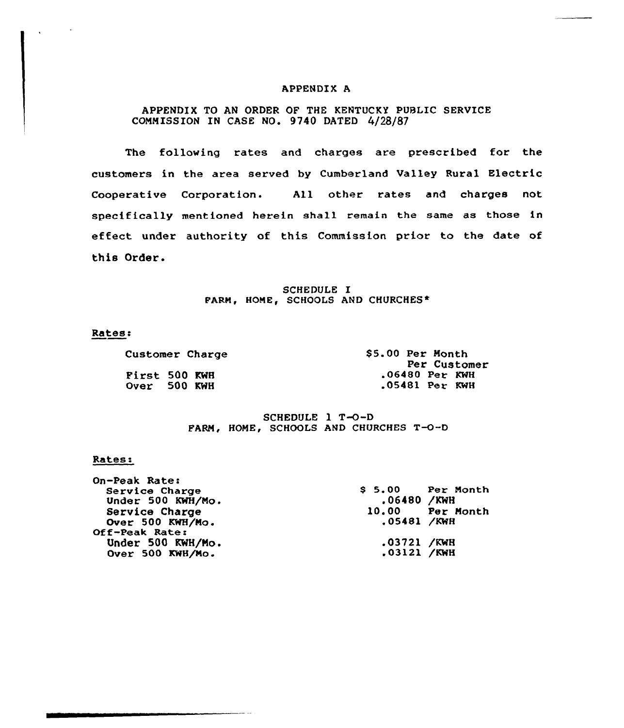### APPENDIX A

# APPENDIX TO AN ORDER OF THE KENTUCKY PUBLIC SERVICE CONMISS ION IN CASE NO. 9740 DATED 4/28/87

The following rates and charges are prescribed for the customers in the area served by Cumberland Valley Rural Electric Cooperative Corporation. All other rates and charges not specifically mentioned herein shall remain the same as those in effect under authority of this Commission prior to the date of this Order.

### SCHEDULE I PARM, HOME, SCHOOLS AND CHURCHES\*

## Rates:

 $\Delta$ 

Customer Charge First 500 KWH Over 500 KWH

\$5.00 Per Month<br>Per Customer .06480 Per KWH <sup>~</sup> 05481 Per KWH

SCHEDULE  $1 T - 0 - D$ FARM, HOME, SCHOOLS AND CHURCHES T-O-D

#### Rates:

| On-Peak Rate:     |               |                   |
|-------------------|---------------|-------------------|
| Service Charge    |               | $$5.00$ Per Month |
| Under 500 KWH/Mo. | .06480 /KWH   |                   |
| Service Charge    |               | 10.00 Per Month   |
| Over 500 KWH/Mo.  | .05481 /KWH   |                   |
| Off-Peak Rate:    |               |                   |
| Under 500 KWH/Mo. | .03721 /KWH   |                   |
| Over 500 KWH/Mo.  | $.03121$ /KWH |                   |
|                   |               |                   |

دد سرب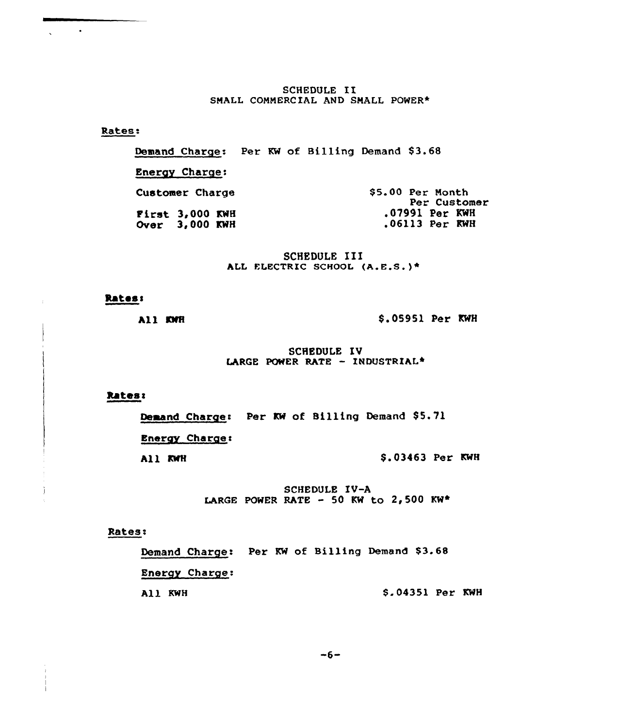SCHEDULE II SMALL COMMERCIAL AND SMALL POWER\*

Rates:

 $\langle \rangle$ 

Demand Charge: Per KW of Billing Demand \$3.68

**Energy Charge:** 

\$5.00 Per Month Customer Charge Per Customer First 3,000 KWH .07991 Per KWH Over 3,000 KWH .06113 Per KWH

> SCHEDULE III ALL ELECTRIC SCHOOL (A.E.S.)\*

## **Rates:**

All KWH

\$.05951 Per KWH

SCHEDULE IV LARGE POWER RATE - INDUSTRIAL\*

Rates:

Demand Charge: Per KW of Billing Demand \$5.71

**Energy Charge:** 

All KWH

\$.03463 Per KWH

SCHEDULE IV-A LARGE POWER RATE - 50 KW to 2,500 KW\*

# Rates:

Demand Charge: Per KW of Billing Demand \$3.68 Energy Charge: All KWH \$.04351 Per KWH